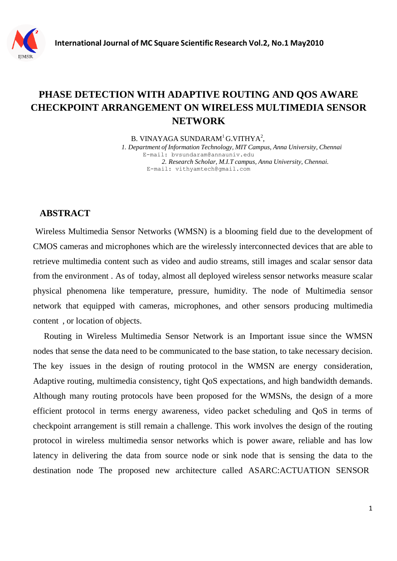

# **PHASE DETECTION WITH ADAPTIVE ROUTING AND QOS AWARE CHECKPOINT ARRANGEMENT ON WIRELESS MULTIMEDIA SENSOR NETWORK**

B. VINAYAGA SUNDARAM $\rm ^1$ G.VITHYA $\rm ^2$ ,

*1. Department of Information Technology, MIT Campus, Anna University, Chennai* E-mail: [bvsundaram@annauniv.edu](mailto:bvsundaram@annauniv.edu) *2. Research Scholar, M.I.T campus, Anna University, Chennai.* E-mail: [vithyamtech@gmail.com](mailto:vithyamtech@gmail.com)

## **ABSTRACT**

Wireless Multimedia Sensor Networks (WMSN) is a blooming field due to the development of CMOS cameras and microphones which are the wirelessly interconnected devices that are able to retrieve multimedia content such as video and audio streams, still images and scalar sensor data from the environment . As of today, almost all deployed wireless sensor networks measure scalar physical phenomena like temperature, pressure, humidity. The node of Multimedia sensor network that equipped with cameras, microphones, and other sensors producing multimedia content , or location of objects.

Routing in Wireless Multimedia Sensor Network is an Important issue since the WMSN nodes that sense the data need to be communicated to the base station, to take necessary decision. The key issues in the design of routing protocol in the WMSN are energy consideration, Adaptive routing, multimedia consistency, tight QoS expectations, and high bandwidth demands. Although many routing protocols have been proposed for the WMSNs, the design of a more efficient protocol in terms energy awareness, video packet scheduling and QoS in terms of checkpoint arrangement is still remain a challenge. This work involves the design of the routing protocol in wireless multimedia sensor networks which is power aware, reliable and has low latency in delivering the data from source node or sink node that is sensing the data to the destination node The proposed new architecture called ASARC:ACTUATION SENSOR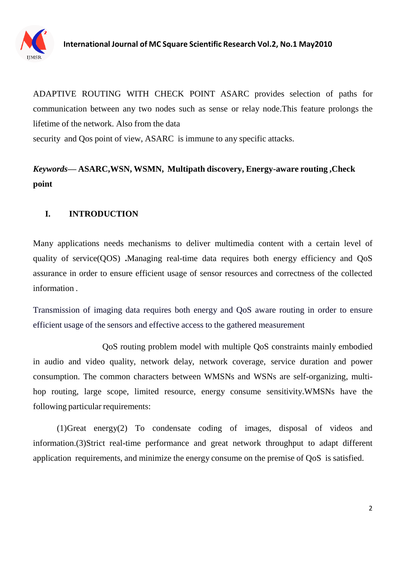

ADAPTIVE ROUTING WITH CHECK POINT ASARC provides selection of paths for communication between any two nodes such as sense or relay node.This feature prolongs the lifetime of the network. Also from the data

security and Qos point of view, ASARC is immune to any specific attacks.

# *Keywords***— ASARC,WSN, WSMN, Multipath discovery, Energy-aware routing ,Check point**

## **I. INTRODUCTION**

Many applications needs mechanisms to deliver multimedia content with a certain level of quality of service(QOS) **.**Managing real-time data requires both energy efficiency and QoS assurance in order to ensure efficient usage of sensor resources and correctness of the collected information .

Transmission of imaging data requires both energy and QoS aware routing in order to ensure efficient usage of the sensors and effective access to the gathered measurement

QoS routing problem model with multiple QoS constraints mainly embodied in audio and video quality, network delay, network coverage, service duration and power consumption. The common characters between WMSNs and WSNs are self-organizing, multihop routing, large scope, limited resource, energy consume sensitivity.WMSNs have the following particular requirements:

(1)Great energy(2) To condensate coding of images, disposal of videos and information.(3)Strict real-time performance and great network throughput to adapt different application requirements, and minimize the energy consume on the premise of QoS is satisfied.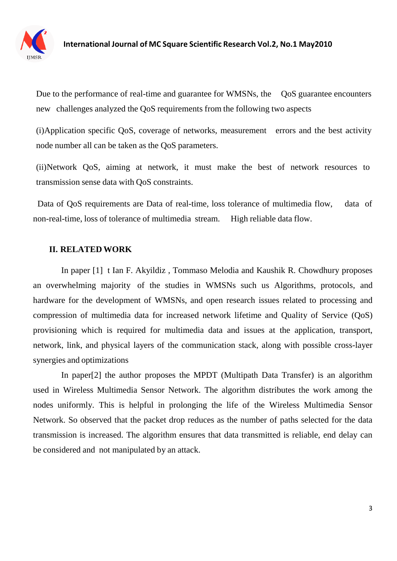

Due to the performance of real-time and guarantee for WMSNs, the QoS guarantee encounters new challenges analyzed the QoS requirements from the following two aspects

(i)Application specific QoS, coverage of networks, measurement errors and the best activity node number all can be taken as the QoS parameters.

(ii)Network QoS, aiming at network, it must make the best of network resources to transmission sense data with QoS constraints.

Data of QoS requirements are Data of real-time, loss tolerance of multimedia flow, data of non-real-time, loss of tolerance of multimedia stream. High reliable data flow.

### **II. RELATED WORK**

In paper [1] t Ian F. Akyildiz , Tommaso Melodia and Kaushik R. Chowdhury proposes an overwhelming majority of the studies in WMSNs such us Algorithms, protocols, and hardware for the development of WMSNs, and open research issues related to processing and compression of multimedia data for increased network lifetime and Quality of Service (QoS) provisioning which is required for multimedia data and issues at the application, transport, network, link, and physical layers of the communication stack, along with possible cross-layer synergies and optimizations

In paper[2] the author proposes the MPDT (Multipath Data Transfer) is an algorithm used in Wireless Multimedia Sensor Network. The algorithm distributes the work among the nodes uniformly. This is helpful in prolonging the life of the Wireless Multimedia Sensor Network. So observed that the packet drop reduces as the number of paths selected for the data transmission is increased. The algorithm ensures that data transmitted is reliable, end delay can be considered and not manipulated by an attack.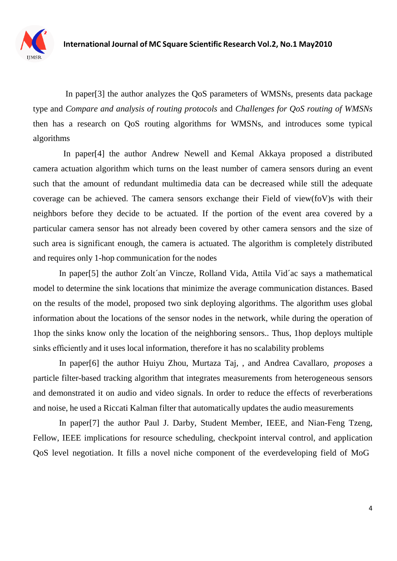

In paper[3] the author analyzes the QoS parameters of WMSNs, presents data package type and *Compare and analysis of routing protocols* and *Challenges for QoS routing of WMSNs* then has a research on QoS routing algorithms for WMSNs, and introduces some typical algorithms

In paper[4] the author Andrew Newell and Kemal Akkaya proposed a distributed camera actuation algorithm which turns on the least number of camera sensors during an event such that the amount of redundant multimedia data can be decreased while still the adequate coverage can be achieved. The camera sensors exchange their Field of view(foV)s with their neighbors before they decide to be actuated. If the portion of the event area covered by a particular camera sensor has not already been covered by other camera sensors and the size of such area is significant enough, the camera is actuated. The algorithm is completely distributed and requires only 1-hop communication for the nodes

In paper[5] the author Zolt´an Vincze, Rolland Vida, Attila Vid´ac says a mathematical model to determine the sink locations that minimize the average communication distances. Based on the results of the model, proposed two sink deploying algorithms. The algorithm uses global information about the locations of the sensor nodes in the network, while during the operation of 1hop the sinks know only the location of the neighboring sensors.. Thus, 1hop deploys multiple sinks efficiently and it uses local information, therefore it has no scalability problems

In paper[6] the author Huiyu Zhou, Murtaza Taj*,* , and Andrea Cavallaro*, proposes* a particle filter-based tracking algorithm that integrates measurements from heterogeneous sensors and demonstrated it on audio and video signals. In order to reduce the effects of reverberations and noise, he used a Riccati Kalman filter that automatically updates the audio measurements

In paper[7] the author Paul J. Darby, Student Member, IEEE, and Nian-Feng Tzeng, Fellow, IEEE implications for resource scheduling, checkpoint interval control, and application QoS level negotiation. It fills a novel niche component of the everdeveloping field of MoG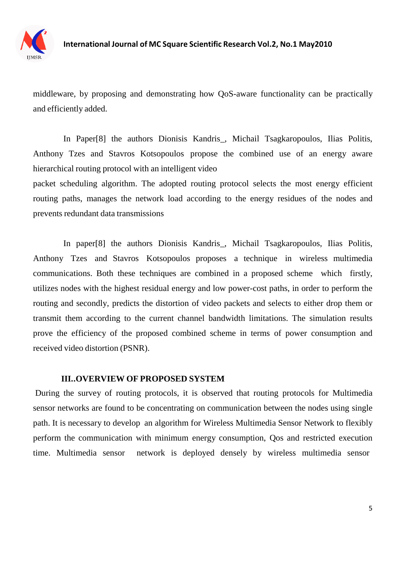

middleware, by proposing and demonstrating how QoS-aware functionality can be practically and efficiently added.

In Paper[8] the authors Dionisis Kandris\_, Michail Tsagkaropoulos, Ilias Politis, Anthony Tzes and Stavros Kotsopoulos propose the combined use of an energy aware hierarchical routing protocol with an intelligent video

packet scheduling algorithm. The adopted routing protocol selects the most energy efficient routing paths, manages the network load according to the energy residues of the nodes and prevents redundant data transmissions

In paper[8] the authors Dionisis Kandris\_, Michail Tsagkaropoulos, Ilias Politis, Anthony Tzes and Stavros Kotsopoulos proposes a technique in wireless multimedia communications. Both these techniques are combined in a proposed scheme which firstly, utilizes nodes with the highest residual energy and low power-cost paths, in order to perform the routing and secondly, predicts the distortion of video packets and selects to either drop them or transmit them according to the current channel bandwidth limitations. The simulation results prove the efficiency of the proposed combined scheme in terms of power consumption and received video distortion (PSNR).

#### **III..OVERVIEW OF PROPOSED SYSTEM**

During the survey of routing protocols, it is observed that routing protocols for Multimedia sensor networks are found to be concentrating on communication between the nodes using single path. It is necessary to develop an algorithm for Wireless Multimedia Sensor Network to flexibly perform the communication with minimum energy consumption, Qos and restricted execution time. Multimedia sensor network is deployed densely by wireless multimedia sensor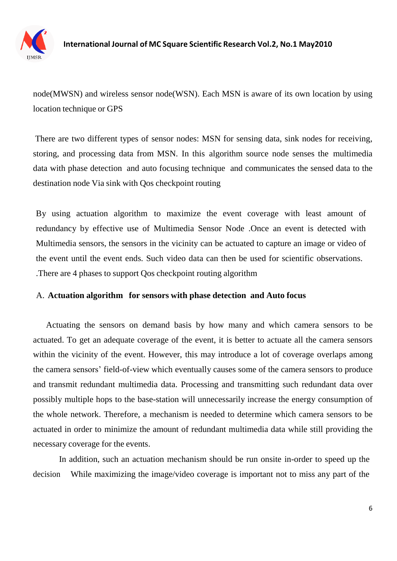

node(MWSN) and wireless sensor node(WSN). Each MSN is aware of its own location by using location technique or GPS

There are two different types of sensor nodes: MSN for sensing data, sink nodes for receiving, storing, and processing data from MSN. In this algorithm source node senses the multimedia data with phase detection and auto focusing technique and communicates the sensed data to the destination node Via sink with Qos checkpoint routing

By using actuation algorithm to maximize the event coverage with least amount of redundancy by effective use of Multimedia Sensor Node .Once an event is detected with Multimedia sensors, the sensors in the vicinity can be actuated to capture an image or video of the event until the event ends. Such video data can then be used for scientific observations. .There are 4 phases to support Qos checkpoint routing algorithm

### A. **Actuation algorithm for sensors with phase detection and Auto focus**

Actuating the sensors on demand basis by how many and which camera sensors to be actuated. To get an adequate coverage of the event, it is better to actuate all the camera sensors within the vicinity of the event. However, this may introduce a lot of coverage overlaps among the camera sensors' field-of-view which eventually causes some of the camera sensors to produce and transmit redundant multimedia data. Processing and transmitting such redundant data over possibly multiple hops to the base-station will unnecessarily increase the energy consumption of the whole network. Therefore, a mechanism is needed to determine which camera sensors to be actuated in order to minimize the amount of redundant multimedia data while still providing the necessary coverage for the events.

In addition, such an actuation mechanism should be run onsite in-order to speed up the decision While maximizing the image/video coverage is important not to miss any part of the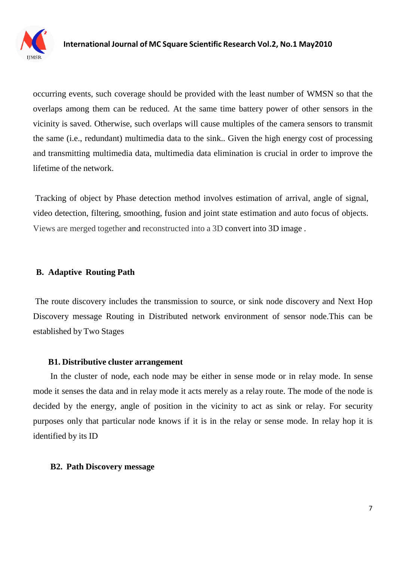

occurring events, such coverage should be provided with the least number of WMSN so that the overlaps among them can be reduced. At the same time battery power of other sensors in the vicinity is saved. Otherwise, such overlaps will cause multiples of the camera sensors to transmit the same (i.e., redundant) multimedia data to the sink.. Given the high energy cost of processing and transmitting multimedia data, multimedia data elimination is crucial in order to improve the lifetime of the network.

Tracking of object by Phase detection method involves estimation of arrival, angle of signal, video detection, filtering, smoothing, fusion and joint state estimation and auto focus of objects. Views are merged together and reconstructed into a 3D convert into 3D image .

#### **B. Adaptive Routing Path**

The route discovery includes the transmission to source, or sink node discovery and Next Hop Discovery message Routing in Distributed network environment of sensor node.This can be established by Two Stages

#### **B1. Distributive cluster arrangement**

In the cluster of node, each node may be either in sense mode or in relay mode. In sense mode it senses the data and in relay mode it acts merely as a relay route. The mode of the node is decided by the energy, angle of position in the vicinity to act as sink or relay. For security purposes only that particular node knows if it is in the relay or sense mode. In relay hop it is identified by its ID

#### **B2. Path Discovery message**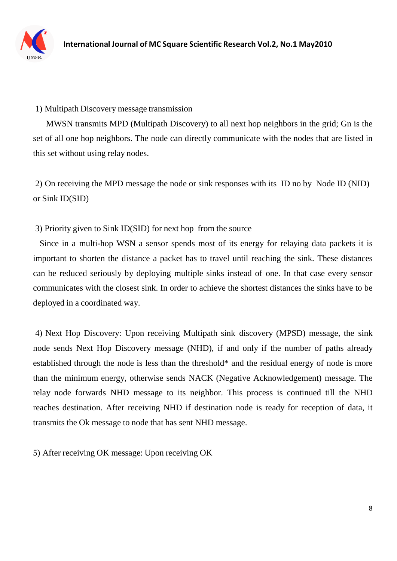

## 1) Multipath Discovery message transmission

MWSN transmits MPD (Multipath Discovery) to all next hop neighbors in the grid; Gn is the set of all one hop neighbors. The node can directly communicate with the nodes that are listed in this set without using relay nodes.

2) On receiving the MPD message the node or sink responses with its ID no by Node ID (NID) or Sink ID(SID)

3) Priority given to Sink ID(SID) for next hop from the source

Since in a multi-hop WSN a sensor spends most of its energy for relaying data packets it is important to shorten the distance a packet has to travel until reaching the sink. These distances can be reduced seriously by deploying multiple sinks instead of one. In that case every sensor communicates with the closest sink. In order to achieve the shortest distances the sinks have to be deployed in a coordinated way.

4) Next Hop Discovery: Upon receiving Multipath sink discovery (MPSD) message, the sink node sends Next Hop Discovery message (NHD), if and only if the number of paths already established through the node is less than the threshold\* and the residual energy of node is more than the minimum energy, otherwise sends NACK (Negative Acknowledgement) message. The relay node forwards NHD message to its neighbor. This process is continued till the NHD reaches destination. After receiving NHD if destination node is ready for reception of data, it transmits the Ok message to node that has sent NHD message.

5) After receiving OK message: Upon receiving OK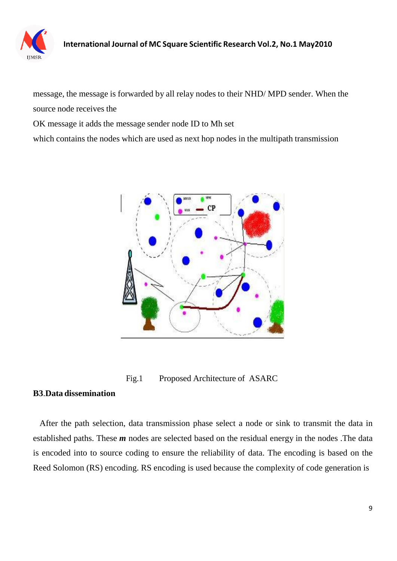

message, the message is forwarded by all relay nodes to their NHD/ MPD sender. When the source node receives the

OK message it adds the message sender node ID to Mh set

which contains the nodes which are used as next hop nodes in the multipath transmission



Fig.1 Proposed Architecture of ASARC

### **B3**.**Data dissemination**

After the path selection, data transmission phase select a node or sink to transmit the data in established paths. These *m* nodes are selected based on the residual energy in the nodes .The data is encoded into to source coding to ensure the reliability of data. The encoding is based on the Reed Solomon (RS) encoding. RS encoding is used because the complexity of code generation is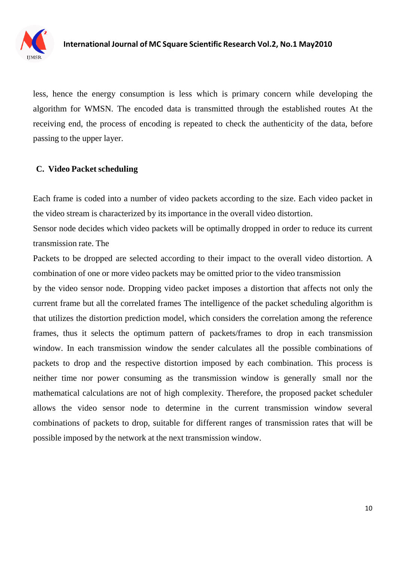

less, hence the energy consumption is less which is primary concern while developing the algorithm for WMSN. The encoded data is transmitted through the established routes At the receiving end, the process of encoding is repeated to check the authenticity of the data, before passing to the upper layer.

## **C. Video Packet scheduling**

Each frame is coded into a number of video packets according to the size. Each video packet in the video stream is characterized by its importance in the overall video distortion.

Sensor node decides which video packets will be optimally dropped in order to reduce its current transmission rate. The

Packets to be dropped are selected according to their impact to the overall video distortion. A combination of one or more video packets may be omitted prior to the video transmission by the video sensor node. Dropping video packet imposes a distortion that affects not only the current frame but all the correlated frames The intelligence of the packet scheduling algorithm is that utilizes the distortion prediction model, which considers the correlation among the reference frames, thus it selects the optimum pattern of packets/frames to drop in each transmission window. In each transmission window the sender calculates all the possible combinations of packets to drop and the respective distortion imposed by each combination. This process is neither time nor power consuming as the transmission window is generally small nor the mathematical calculations are not of high complexity. Therefore, the proposed packet scheduler allows the video sensor node to determine in the current transmission window several combinations of packets to drop, suitable for different ranges of transmission rates that will be

possible imposed by the network at the next transmission window.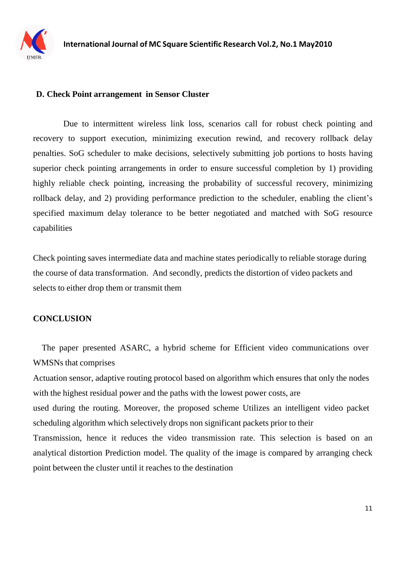

## **D. Check Point arrangement in Sensor Cluster**

Due to intermittent wireless link loss, scenarios call for robust check pointing and recovery to support execution, minimizing execution rewind, and recovery rollback delay penalties. SoG scheduler to make decisions, selectively submitting job portions to hosts having superior check pointing arrangements in order to ensure successful completion by 1) providing highly reliable check pointing, increasing the probability of successful recovery, minimizing rollback delay, and 2) providing performance prediction to the scheduler, enabling the client's specified maximum delay tolerance to be better negotiated and matched with SoG resource capabilities

Check pointing saves intermediate data and machine states periodically to reliable storage during the course of data transformation. And secondly, predicts the distortion of video packets and selects to either drop them or transmit them

## **CONCLUSION**

The paper presented ASARC, a hybrid scheme for Efficient video communications over WMSNs that comprises

Actuation sensor, adaptive routing protocol based on algorithm which ensures that only the nodes with the highest residual power and the paths with the lowest power costs, are

used during the routing. Moreover, the proposed scheme Utilizes an intelligent video packet scheduling algorithm which selectively drops non significant packets prior to their

Transmission, hence it reduces the video transmission rate. This selection is based on an analytical distortion Prediction model. The quality of the image is compared by arranging check point between the cluster until it reaches to the destination